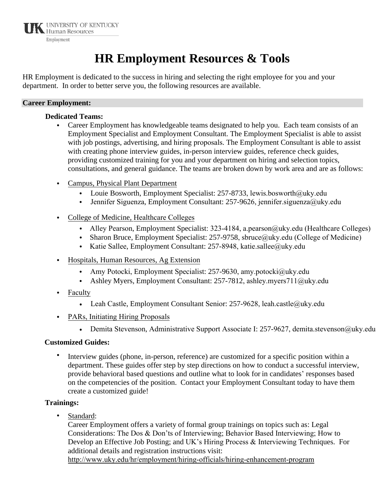

# **HR Employment Resources & Tools**

HR Employment is dedicated to the success in hiring and selecting the right employee for you and your department. In order to better serve you, the following resources are available.

#### **Career Employment:**

#### **Dedicated Teams:**

- Career Employment has knowledgeable teams designated to help you. Each team consists of an Employment Specialist and Employment Consultant. The Employment Specialist is able to assist with job postings, advertising, and hiring proposals. The Employment Consultant is able to assist with creating phone interview guides, in-person interview guides, reference check guides, providing customized training for you and your department on hiring and selection topics, consultations, and general guidance. The teams are broken down by work area and are as follows:
- Campus, Physical Plant Department
	- Louie Bosworth, Employment Specialist: 257-8733, lewis.bosworth@uky.edu
	- Jennifer Siguenza, Employment Consultant: 257-9626, jennifer.siguenza@uky.edu
- College of Medicine, Healthcare Colleges
	- Alley Pearson, Employment Specialist: 323-4184, a.pearson@uky.edu (Healthcare Colleges)
	- Sharon Bruce, Employment Specialist: 257-9758, sbruce@uky.edu (College of Medicine)
	- Katie Sallee, Employment Consultant: 257-8948, katie.sallee@uky.edu
- Hospitals, Human Resources, Ag Extension
	- Amy Potocki, Employment Specialist: 257-9630, amy.potocki@uky.edu
	- Ashley Myers, Employment Consultant: 257-7812, ashley.myers711@uky.edu
- Faculty
	- Leah Castle, Employment Consultant Senior: 257-9628, leah.castle@uky.edu
- PARs, Initiating Hiring Proposals
	- Demita Stevenson, Administrative Support Associate I: 257-9627, demita.stevenson@uky.edu

#### **Customized Guides:**

• Interview guides (phone, in-person, reference) are customized for a specific position within a department. These guides offer step by step directions on how to conduct a successful interview, provide behavioral based questions and outline what to look for in candidates' responses based on the competencies of the position. Contact your Employment Consultant today to have them create a customized guide!

#### **Trainings:**

Standard:

[Career Employment offers a variety of formal group trainings on top](http://www.uky.edu/HR/employ/HiringEnhancementProgram.html)ics such as: Legal Considerations: The Dos & Don'ts of Interviewing; Behavior Based Interviewing; How to Develop an Effective Job Posting; and UK's Hiring Process & Interviewing Techniques. For additional details and registration instructions visit: http://www.uky.edu/hr/employment/hiring-officials/hiring-enhancement-program